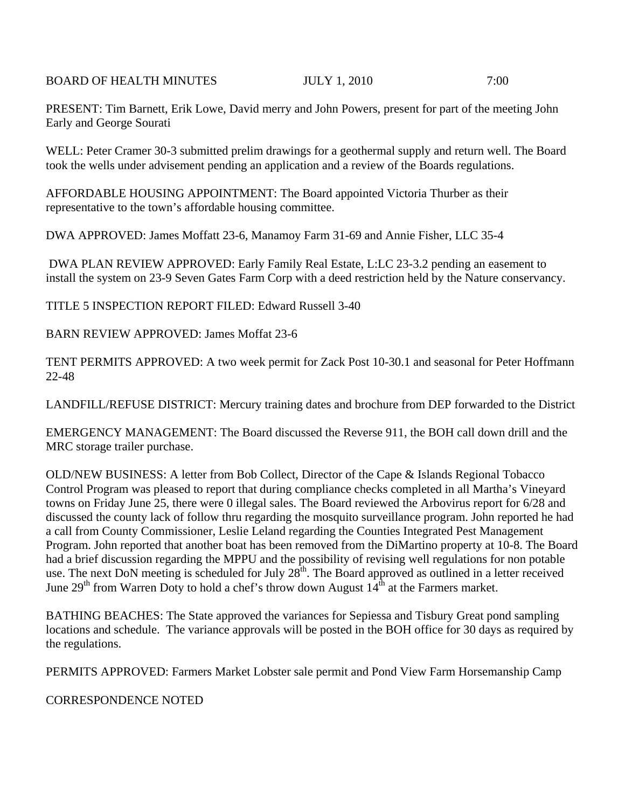BOARD OF HEALTH MINUTES **IULY 1, 2010** 7:00

PRESENT: Tim Barnett, Erik Lowe, David merry and John Powers, present for part of the meeting John Early and George Sourati

WELL: Peter Cramer 30-3 submitted prelim drawings for a geothermal supply and return well. The Board took the wells under advisement pending an application and a review of the Boards regulations.

AFFORDABLE HOUSING APPOINTMENT: The Board appointed Victoria Thurber as their representative to the town's affordable housing committee.

DWA APPROVED: James Moffatt 23-6, Manamoy Farm 31-69 and Annie Fisher, LLC 35-4

 DWA PLAN REVIEW APPROVED: Early Family Real Estate, L:LC 23-3.2 pending an easement to install the system on 23-9 Seven Gates Farm Corp with a deed restriction held by the Nature conservancy.

TITLE 5 INSPECTION REPORT FILED: Edward Russell 3-40

BARN REVIEW APPROVED: James Moffat 23-6

TENT PERMITS APPROVED: A two week permit for Zack Post 10-30.1 and seasonal for Peter Hoffmann 22-48

LANDFILL/REFUSE DISTRICT: Mercury training dates and brochure from DEP forwarded to the District

EMERGENCY MANAGEMENT: The Board discussed the Reverse 911, the BOH call down drill and the MRC storage trailer purchase.

OLD/NEW BUSINESS: A letter from Bob Collect, Director of the Cape & Islands Regional Tobacco Control Program was pleased to report that during compliance checks completed in all Martha's Vineyard towns on Friday June 25, there were 0 illegal sales. The Board reviewed the Arbovirus report for 6/28 and discussed the county lack of follow thru regarding the mosquito surveillance program. John reported he had a call from County Commissioner, Leslie Leland regarding the Counties Integrated Pest Management Program. John reported that another boat has been removed from the DiMartino property at 10-8. The Board had a brief discussion regarding the MPPU and the possibility of revising well regulations for non potable use. The next DoN meeting is scheduled for July  $28<sup>th</sup>$ . The Board approved as outlined in a letter received June 29<sup>th</sup> from Warren Doty to hold a chef's throw down August  $14<sup>th</sup>$  at the Farmers market.

BATHING BEACHES: The State approved the variances for Sepiessa and Tisbury Great pond sampling locations and schedule. The variance approvals will be posted in the BOH office for 30 days as required by the regulations.

PERMITS APPROVED: Farmers Market Lobster sale permit and Pond View Farm Horsemanship Camp

CORRESPONDENCE NOTED